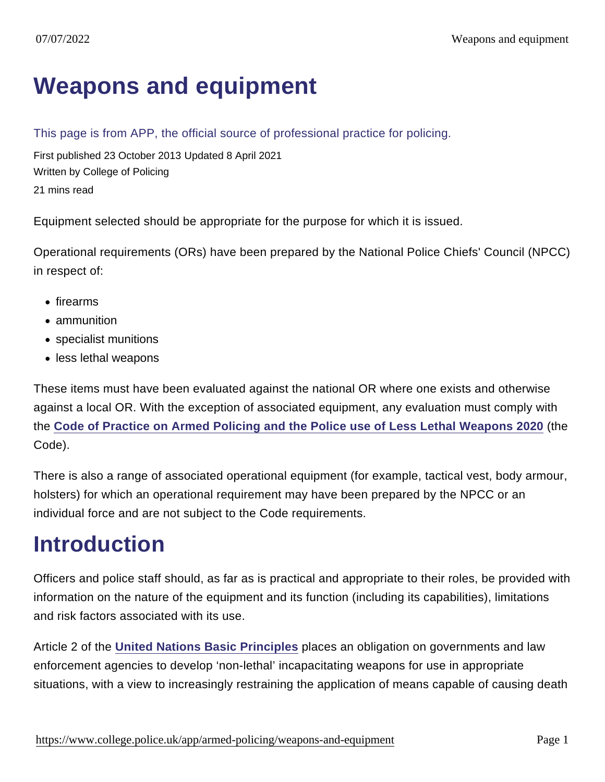# [Weapons and equipment](https://www.college.police.uk/app/armed-policing/weapons-and-equipment)

This page is from APP, the official source of professional practice for policing.

First published 23 October 2013 Updated 8 April 2021 Written by College of Policing 21 mins read

Equipment selected should be appropriate for the purpose for which it is issued.

Operational requirements (ORs) have been prepared by the National Police Chiefs' Council (NPCC) in respect of:

- firearms
- ammunition
- specialist munitions
- less lethal weapons

These items must have been evaluated against the national OR where one exists and otherwise against a local OR. With the exception of associated equipment, any evaluation must comply with the [Code of Practice on Armed Policing and the Police use of Less Lethal Weapons 2020](https://library.college.police.uk/docs/appref/CCS207-CCS0120853800-001-Code-of-Practice-on-Armed-Policing.pdf) (the Code).

There is also a range of associated operational equipment (for example, tactical vest, body armour, holsters) for which an operational requirement may have been prepared by the NPCC or an individual force and are not subject to the Code requirements.

# Introduction

Officers and police staff should, as far as is practical and appropriate to their roles, be provided with information on the nature of the equipment and its function (including its capabilities), limitations and risk factors associated with its use.

Article 2 of the [United Nations Basic Principles](http://www.ohchr.org/EN/ProfessionalInterest/Pages/UseOfForceAndFirearms.aspx) places an obligation on governments and law enforcement agencies to develop 'non-lethal' incapacitating weapons for use in appropriate situations, with a view to increasingly restraining the application of means capable of causing death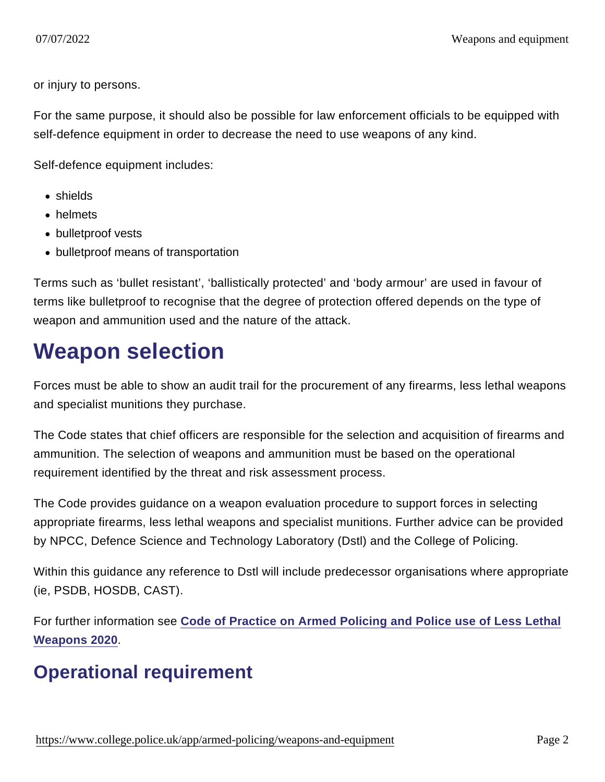or injury to persons.

For the same purpose, it should also be possible for law enforcement officials to be equipped with self-defence equipment in order to decrease the need to use weapons of any kind.

Self-defence equipment includes:

- shields
- helmets
- bulletproof vests
- bulletproof means of transportation

Terms such as 'bullet resistant', 'ballistically protected' and 'body armour' are used in favour of terms like bulletproof to recognise that the degree of protection offered depends on the type of weapon and ammunition used and the nature of the attack.

# Weapon selection

Forces must be able to show an audit trail for the procurement of any firearms, less lethal weapons and specialist munitions they purchase.

The Code states that chief officers are responsible for the selection and acquisition of firearms and ammunition. The selection of weapons and ammunition must be based on the operational requirement identified by the threat and risk assessment process.

The Code provides guidance on a weapon evaluation procedure to support forces in selecting appropriate firearms, less lethal weapons and specialist munitions. Further advice can be provided by NPCC, Defence Science and Technology Laboratory (Dstl) and the College of Policing.

Within this guidance any reference to Dstl will include predecessor organisations where appropriate (ie, PSDB, HOSDB, CAST).

For further information see [Code of Practice on Armed Policing and Police use of Less Lethal](https://library.college.police.uk/docs/appref/CCS207-CCS0120853800-001-Code-of-Practice-on-Armed-Policing.pdf) [Weapons 2020](https://library.college.police.uk/docs/appref/CCS207-CCS0120853800-001-Code-of-Practice-on-Armed-Policing.pdf) .

# Operational requirement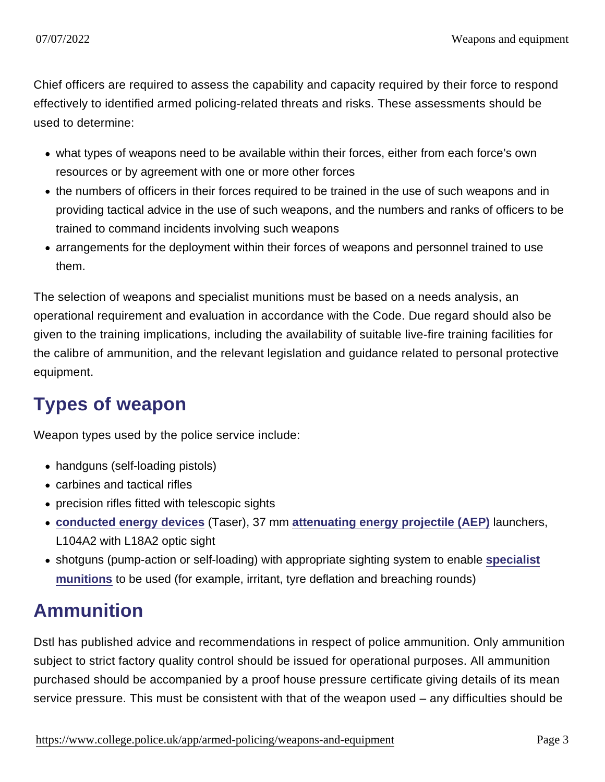Chief officers are required to assess the capability and capacity required by their force to respond effectively to identified armed policing-related threats and risks. These assessments should be used to determine:

- what types of weapons need to be available within their forces, either from each force's own resources or by agreement with one or more other forces
- the numbers of officers in their forces required to be trained in the use of such weapons and in providing tactical advice in the use of such weapons, and the numbers and ranks of officers to be trained to command incidents involving such weapons
- arrangements for the deployment within their forces of weapons and personnel trained to use them.

The selection of weapons and specialist munitions must be based on a needs analysis, an operational requirement and evaluation in accordance with the Code. Due regard should also be given to the training implications, including the availability of suitable live-fire training facilities for the calibre of ammunition, and the relevant legislation and guidance related to personal protective equipment.

# Types of weapon

Weapon types used by the police service include:

- handguns (self-loading pistols)
- carbines and tactical rifles
- precision rifles fitted with telescopic sights
- [conducted energy devices](https://www.app.college.police.uk/app-content/armed-policing/conducted-energy-devices-taser/) (Taser), 37 mm [attenuating energy projectile \(AEP\)](https://www.app.college.police.uk/app-content/armed-policing/attenuating-energy-projectiles/) launchers, L104A2 with L18A2 optic sight
- shotguns (pump-action or self-loading) with appropriate sighting system to enable [specialist](https://www.app.college.police.uk/app-content/armed-policing/weapons-and-equipment/#specialist-munitions) [munitions](https://www.app.college.police.uk/app-content/armed-policing/weapons-and-equipment/#specialist-munitions) to be used (for example, irritant, tyre deflation and breaching rounds)

#### Ammunition

Dstl has published advice and recommendations in respect of police ammunition. Only ammunition subject to strict factory quality control should be issued for operational purposes. All ammunition purchased should be accompanied by a proof house pressure certificate giving details of its mean service pressure. This must be consistent with that of the weapon used – any difficulties should be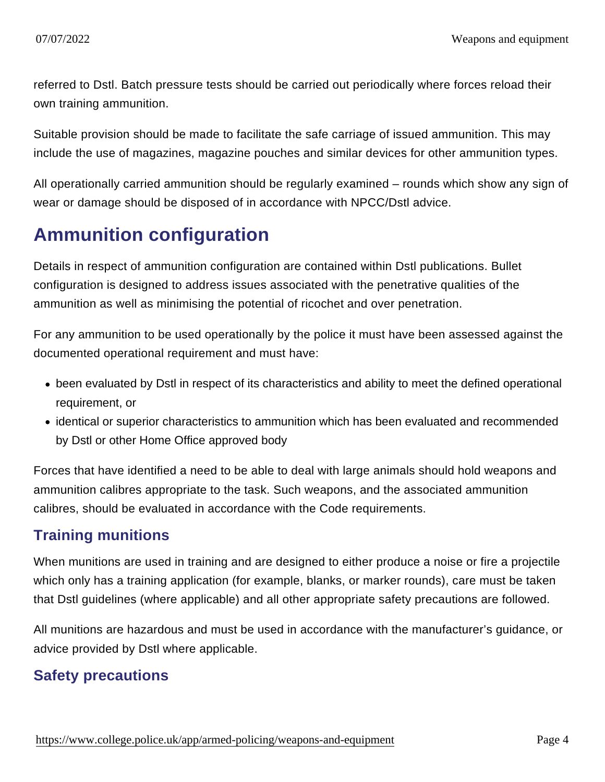referred to Dstl. Batch pressure tests should be carried out periodically where forces reload their own training ammunition.

Suitable provision should be made to facilitate the safe carriage of issued ammunition. This may include the use of magazines, magazine pouches and similar devices for other ammunition types.

All operationally carried ammunition should be regularly examined – rounds which show any sign of wear or damage should be disposed of in accordance with NPCC/Dstl advice.

# Ammunition configuration

Details in respect of ammunition configuration are contained within Dstl publications. Bullet configuration is designed to address issues associated with the penetrative qualities of the ammunition as well as minimising the potential of ricochet and over penetration.

For any ammunition to be used operationally by the police it must have been assessed against the documented operational requirement and must have:

- been evaluated by Dstl in respect of its characteristics and ability to meet the defined operational requirement, or
- identical or superior characteristics to ammunition which has been evaluated and recommended by Dstl or other Home Office approved body

Forces that have identified a need to be able to deal with large animals should hold weapons and ammunition calibres appropriate to the task. Such weapons, and the associated ammunition calibres, should be evaluated in accordance with the Code requirements.

#### Training munitions

When munitions are used in training and are designed to either produce a noise or fire a projectile which only has a training application (for example, blanks, or marker rounds), care must be taken that Dstl guidelines (where applicable) and all other appropriate safety precautions are followed.

All munitions are hazardous and must be used in accordance with the manufacturer's guidance, or advice provided by Dstl where applicable.

#### Safety precautions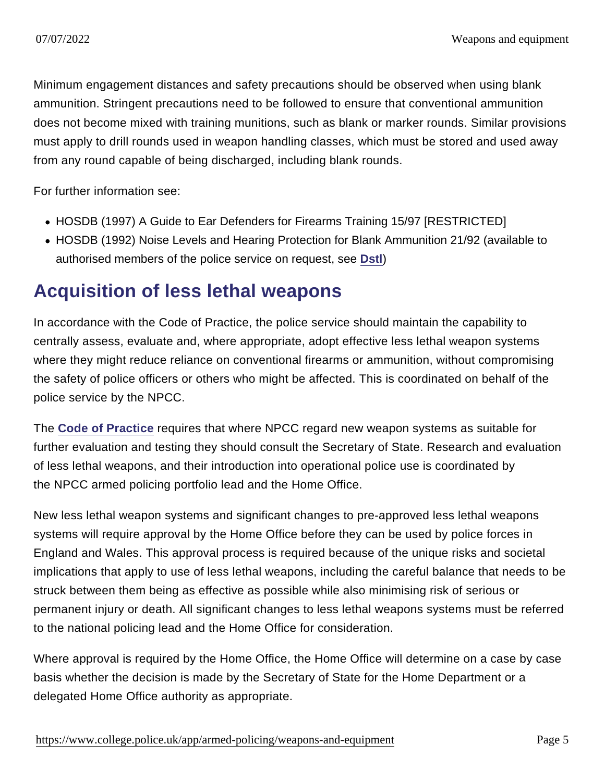Minimum engagement distances and safety precautions should be observed when using blank ammunition. Stringent precautions need to be followed to ensure that conventional ammunition does not become mixed with training munitions, such as blank or marker rounds. Similar provisions must apply to drill rounds used in weapon handling classes, which must be stored and used away from any round capable of being discharged, including blank rounds.

For further information see:

- HOSDB (1997) A Guide to Ear Defenders for Firearms Training 15/97 [RESTRICTED]
- HOSDB (1992) Noise Levels and Hearing Protection for Blank Ammunition 21/92 (available to authorised members of the police service on request, see [Dstl](https://www.gov.uk/government/organisations/defence-science-and-technology-laboratory) )

#### Acquisition of less lethal weapons

In accordance with the Code of Practice, the police service should maintain the capability to centrally assess, evaluate and, where appropriate, adopt effective less lethal weapon systems where they might reduce reliance on conventional firearms or ammunition, without compromising the safety of police officers or others who might be affected. This is coordinated on behalf of the police service by the NPCC.

The [Code of Practice](https://library.college.police.uk/docs/appref/CCS207-CCS0120853800-001-Code-of-Practice-on-Armed-Policing.pdf) requires that where NPCC regard new weapon systems as suitable for further evaluation and testing they should consult the Secretary of State. Research and evaluation of less lethal weapons, and their introduction into operational police use is coordinated by the NPCC armed policing portfolio lead and the Home Office.

New less lethal weapon systems and significant changes to pre-approved less lethal weapons systems will require approval by the Home Office before they can be used by police forces in England and Wales. This approval process is required because of the unique risks and societal implications that apply to use of less lethal weapons, including the careful balance that needs to be struck between them being as effective as possible while also minimising risk of serious or permanent injury or death. All significant changes to less lethal weapons systems must be referred to the national policing lead and the Home Office for consideration.

Where approval is required by the Home Office, the Home Office will determine on a case by case basis whether the decision is made by the Secretary of State for the Home Department or a delegated Home Office authority as appropriate.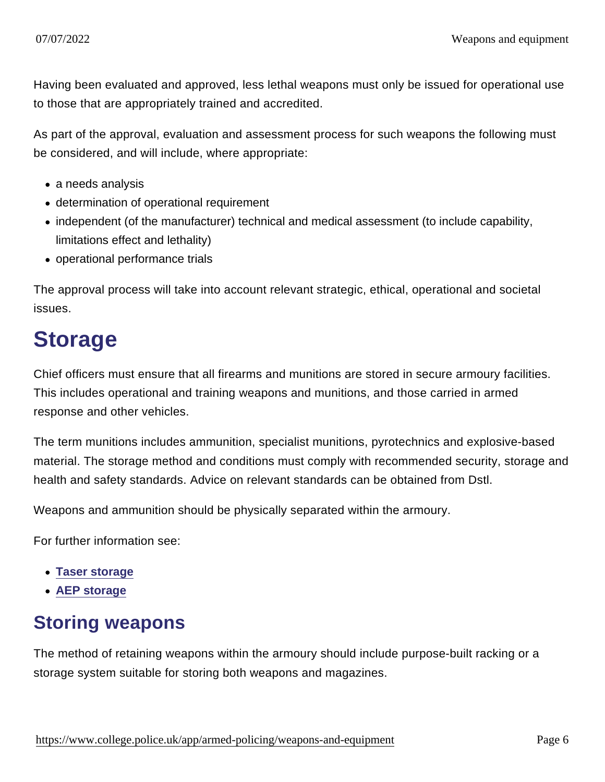Having been evaluated and approved, less lethal weapons must only be issued for operational use to those that are appropriately trained and accredited.

As part of the approval, evaluation and assessment process for such weapons the following must be considered, and will include, where appropriate:

- a needs analysis
- determination of operational requirement
- independent (of the manufacturer) technical and medical assessment (to include capability, limitations effect and lethality)
- operational performance trials

The approval process will take into account relevant strategic, ethical, operational and societal issues.

# Storage

Chief officers must ensure that all firearms and munitions are stored in secure armoury facilities. This includes operational and training weapons and munitions, and those carried in armed response and other vehicles.

The term munitions includes ammunition, specialist munitions, pyrotechnics and explosive-based material. The storage method and conditions must comply with recommended security, storage and health and safety standards. Advice on relevant standards can be obtained from Dstl.

Weapons and ammunition should be physically separated within the armoury.

For further information see:

- [Taser storage](https://www.app.college.police.uk/app-content/armed-policing/conducted-energy-devices-taser/#storage)
- [AEP storage](https://www.app.college.police.uk/app-content/armed-policing/attenuating-energy-projectiles/#storage)

#### Storing weapons

The method of retaining weapons within the armoury should include purpose-built racking or a storage system suitable for storing both weapons and magazines.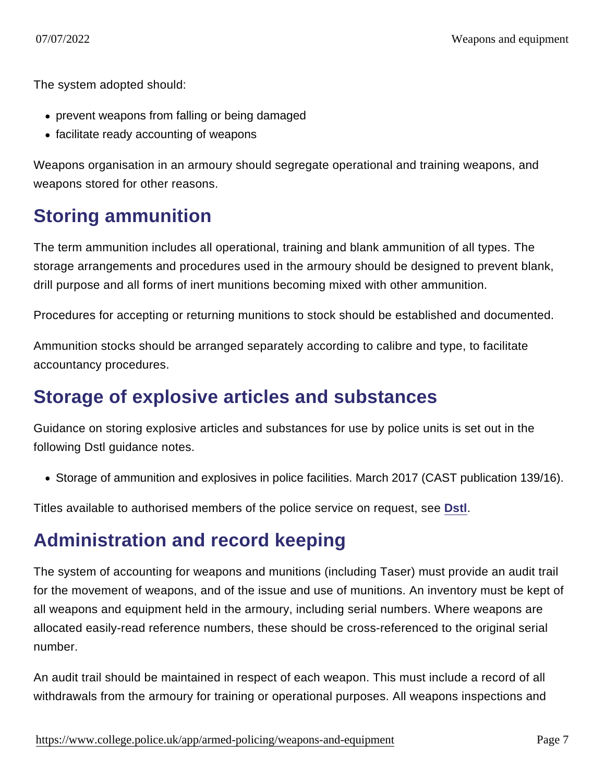The system adopted should:

- prevent weapons from falling or being damaged
- facilitate ready accounting of weapons

Weapons organisation in an armoury should segregate operational and training weapons, and weapons stored for other reasons.

### Storing ammunition

The term ammunition includes all operational, training and blank ammunition of all types. The storage arrangements and procedures used in the armoury should be designed to prevent blank, drill purpose and all forms of inert munitions becoming mixed with other ammunition.

Procedures for accepting or returning munitions to stock should be established and documented.

Ammunition stocks should be arranged separately according to calibre and type, to facilitate accountancy procedures.

#### Storage of explosive articles and substances

Guidance on storing explosive articles and substances for use by police units is set out in the following Dstl guidance notes.

Storage of ammunition and explosives in police facilities. March 2017 (CAST publication 139/16).

Titles available to authorised members of the police service on request, see [Dstl](https://www.gov.uk/government/organisations/defence-science-and-technology-laboratory) .

# Administration and record keeping

The system of accounting for weapons and munitions (including Taser) must provide an audit trail for the movement of weapons, and of the issue and use of munitions. An inventory must be kept of all weapons and equipment held in the armoury, including serial numbers. Where weapons are allocated easily-read reference numbers, these should be cross-referenced to the original serial number.

An audit trail should be maintained in respect of each weapon. This must include a record of all withdrawals from the armoury for training or operational purposes. All weapons inspections and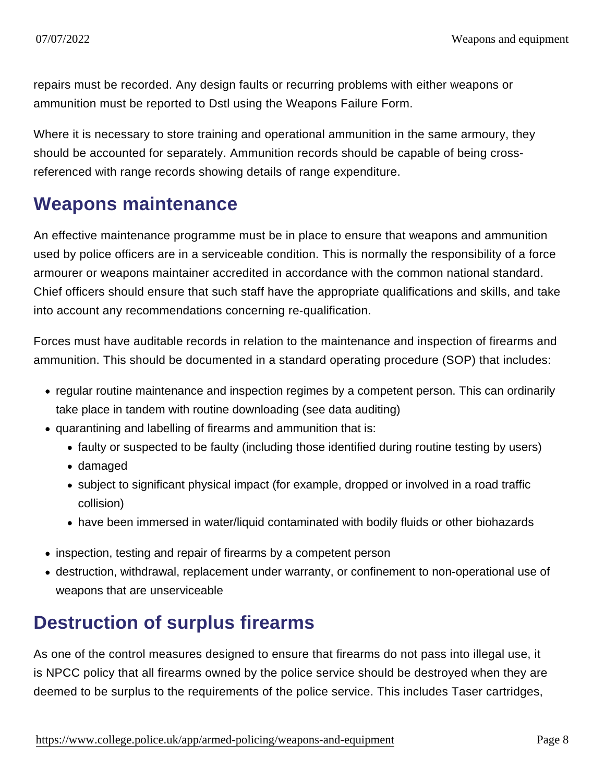repairs must be recorded. Any design faults or recurring problems with either weapons or ammunition must be reported to Dstl using the Weapons Failure Form.

Where it is necessary to store training and operational ammunition in the same armoury, they should be accounted for separately. Ammunition records should be capable of being crossreferenced with range records showing details of range expenditure.

#### Weapons maintenance

An effective maintenance programme must be in place to ensure that weapons and ammunition used by police officers are in a serviceable condition. This is normally the responsibility of a force armourer or weapons maintainer accredited in accordance with the common national standard. Chief officers should ensure that such staff have the appropriate qualifications and skills, and take into account any recommendations concerning re-qualification.

Forces must have auditable records in relation to the maintenance and inspection of firearms and ammunition. This should be documented in a standard operating procedure (SOP) that includes:

- regular routine maintenance and inspection regimes by a competent person. This can ordinarily take place in tandem with routine downloading (see data auditing)
- quarantining and labelling of firearms and ammunition that is:
	- faulty or suspected to be faulty (including those identified during routine testing by users)
	- damaged
	- subject to significant physical impact (for example, dropped or involved in a road traffic collision)
	- have been immersed in water/liquid contaminated with bodily fluids or other biohazards
- inspection, testing and repair of firearms by a competent person
- destruction, withdrawal, replacement under warranty, or confinement to non-operational use of weapons that are unserviceable

# Destruction of surplus firearms

As one of the control measures designed to ensure that firearms do not pass into illegal use, it is NPCC policy that all firearms owned by the police service should be destroyed when they are deemed to be surplus to the requirements of the police service. This includes Taser cartridges,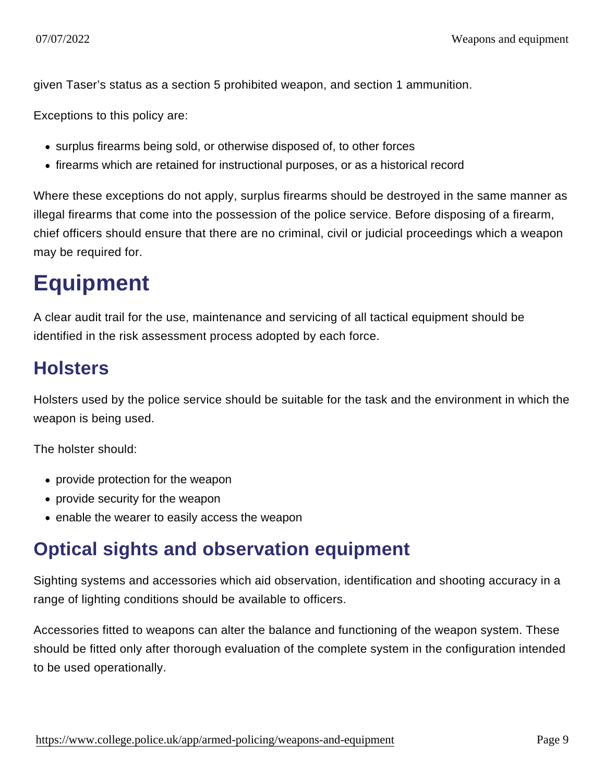given Taser's status as a section 5 prohibited weapon, and section 1 ammunition.

Exceptions to this policy are:

- surplus firearms being sold, or otherwise disposed of, to other forces
- firearms which are retained for instructional purposes, or as a historical record

Where these exceptions do not apply, surplus firearms should be destroyed in the same manner as illegal firearms that come into the possession of the police service. Before disposing of a firearm, chief officers should ensure that there are no criminal, civil or judicial proceedings which a weapon may be required for.

# **Equipment**

A clear audit trail for the use, maintenance and servicing of all tactical equipment should be identified in the risk assessment process adopted by each force.

#### **Holsters**

Holsters used by the police service should be suitable for the task and the environment in which the weapon is being used.

The holster should:

- provide protection for the weapon
- provide security for the weapon
- enable the wearer to easily access the weapon

#### Optical sights and observation equipment

Sighting systems and accessories which aid observation, identification and shooting accuracy in a range of lighting conditions should be available to officers.

Accessories fitted to weapons can alter the balance and functioning of the weapon system. These should be fitted only after thorough evaluation of the complete system in the configuration intended to be used operationally.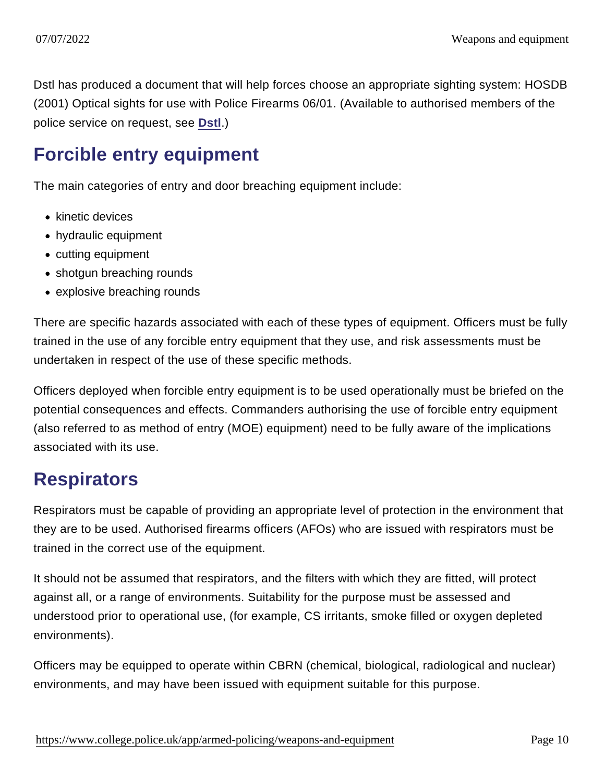Dstl has produced a document that will help forces choose an appropriate sighting system: HOSDB (2001) Optical sights for use with Police Firearms 06/01. (Available to authorised members of the police service on request, see [Dstl](https://www.gov.uk/government/organisations/defence-science-and-technology-laboratory) .)

#### Forcible entry equipment

The main categories of entry and door breaching equipment include:

- kinetic devices
- hydraulic equipment
- cutting equipment
- shotgun breaching rounds
- explosive breaching rounds

There are specific hazards associated with each of these types of equipment. Officers must be fully trained in the use of any forcible entry equipment that they use, and risk assessments must be undertaken in respect of the use of these specific methods.

Officers deployed when forcible entry equipment is to be used operationally must be briefed on the potential consequences and effects. Commanders authorising the use of forcible entry equipment (also referred to as method of entry (MOE) equipment) need to be fully aware of the implications associated with its use.

#### **Respirators**

Respirators must be capable of providing an appropriate level of protection in the environment that they are to be used. Authorised firearms officers (AFOs) who are issued with respirators must be trained in the correct use of the equipment.

It should not be assumed that respirators, and the filters with which they are fitted, will protect against all, or a range of environments. Suitability for the purpose must be assessed and understood prior to operational use, (for example, CS irritants, smoke filled or oxygen depleted environments).

Officers may be equipped to operate within CBRN (chemical, biological, radiological and nuclear) environments, and may have been issued with equipment suitable for this purpose.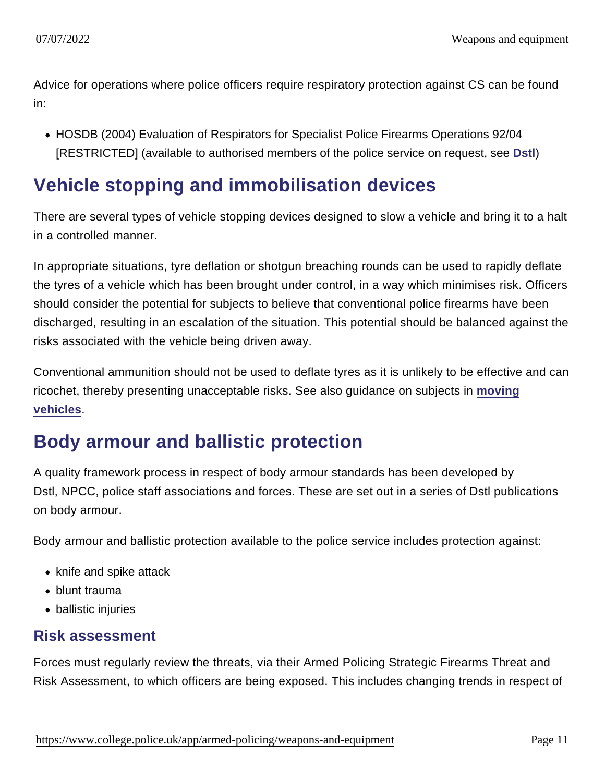Advice for operations where police officers require respiratory protection against CS can be found in:

HOSDB (2004) Evaluation of Respirators for Specialist Police Firearms Operations 92/04 [RESTRICTED] (available to authorised members of the police service on request, see [Dstl](https://www.gov.uk/government/organisations/defence-science-and-technology-laboratory) )

#### Vehicle stopping and immobilisation devices

There are several types of vehicle stopping devices designed to slow a vehicle and bring it to a halt in a controlled manner.

In appropriate situations, tyre deflation or shotgun breaching rounds can be used to rapidly deflate the tyres of a vehicle which has been brought under control, in a way which minimises risk. Officers should consider the potential for subjects to believe that conventional police firearms have been discharged, resulting in an escalation of the situation. This potential should be balanced against the risks associated with the vehicle being driven away.

Conventional ammunition should not be used to deflate tyres as it is unlikely to be effective and can ricochet, thereby presenting unacceptable risks. See also guidance on subjects in [moving](https://www.app.college.police.uk/app-content/armed-policing/armed-deployment/discharge-of-firearms/#moving-vehicles) [vehicles](https://www.app.college.police.uk/app-content/armed-policing/armed-deployment/discharge-of-firearms/#moving-vehicles) .

# Body armour and ballistic protection

A quality framework process in respect of body armour standards has been developed by Dstl, NPCC, police staff associations and forces. These are set out in a series of Dstl publications on body armour.

Body armour and ballistic protection available to the police service includes protection against:

- knife and spike attack
- blunt trauma
- ballistic injuries

#### Risk assessment

Forces must regularly review the threats, via their Armed Policing Strategic Firearms Threat and Risk Assessment, to which officers are being exposed. This includes changing trends in respect of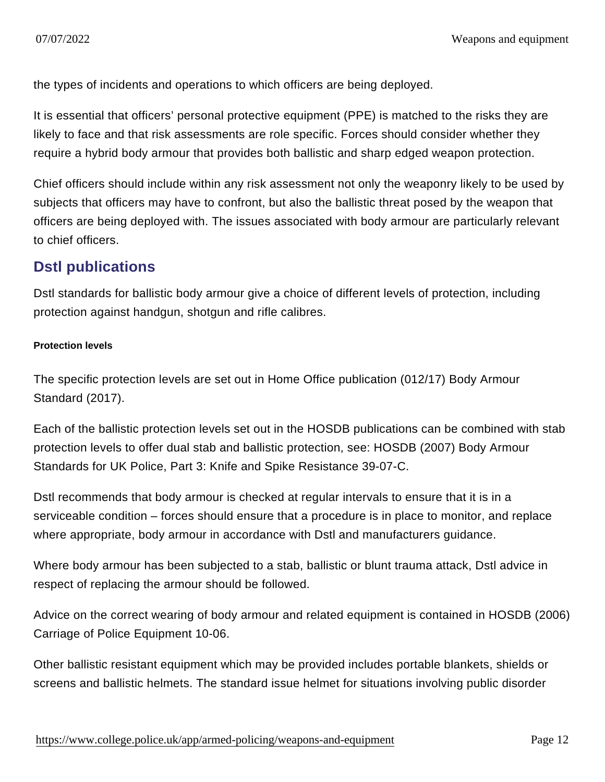the types of incidents and operations to which officers are being deployed.

It is essential that officers' personal protective equipment (PPE) is matched to the risks they are likely to face and that risk assessments are role specific. Forces should consider whether they require a hybrid body armour that provides both ballistic and sharp edged weapon protection.

Chief officers should include within any risk assessment not only the weaponry likely to be used by subjects that officers may have to confront, but also the ballistic threat posed by the weapon that officers are being deployed with. The issues associated with body armour are particularly relevant to chief officers.

#### Dstl publications

Dstl standards for ballistic body armour give a choice of different levels of protection, including protection against handgun, shotgun and rifle calibres.

Protection levels

The specific protection levels are set out in Home Office publication (012/17) Body Armour Standard (2017).

Each of the ballistic protection levels set out in the HOSDB publications can be combined with stab protection levels to offer dual stab and ballistic protection, see: HOSDB (2007) Body Armour Standards for UK Police, Part 3: Knife and Spike Resistance 39-07-C.

Dstl recommends that body armour is checked at regular intervals to ensure that it is in a serviceable condition – forces should ensure that a procedure is in place to monitor, and replace where appropriate, body armour in accordance with Dstl and manufacturers guidance.

Where body armour has been subjected to a stab, ballistic or blunt trauma attack, Dstl advice in respect of replacing the armour should be followed.

Advice on the correct wearing of body armour and related equipment is contained in HOSDB (2006) Carriage of Police Equipment 10-06.

Other ballistic resistant equipment which may be provided includes portable blankets, shields or screens and ballistic helmets. The standard issue helmet for situations involving public disorder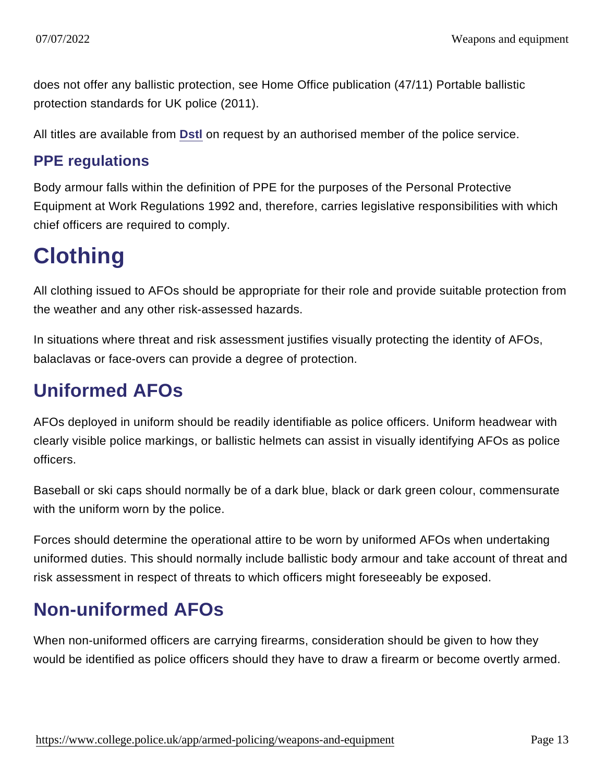does not offer any ballistic protection, see Home Office publication (47/11) Portable ballistic protection standards for UK police (2011).

All titles are available from [Dstl](https://www.gov.uk/government/organisations/defence-science-and-technology-laboratory) on request by an authorised member of the police service.

#### PPE regulations

Body armour falls within the definition of PPE for the purposes of the Personal Protective Equipment at Work Regulations 1992 and, therefore, carries legislative responsibilities with which chief officers are required to comply.

# **Clothing**

All clothing issued to AFOs should be appropriate for their role and provide suitable protection from the weather and any other risk-assessed hazards.

In situations where threat and risk assessment justifies visually protecting the identity of AFOs, balaclavas or face-overs can provide a degree of protection.

# Uniformed AFOs

AFOs deployed in uniform should be readily identifiable as police officers. Uniform headwear with clearly visible police markings, or ballistic helmets can assist in visually identifying AFOs as police officers.

Baseball or ski caps should normally be of a dark blue, black or dark green colour, commensurate with the uniform worn by the police.

Forces should determine the operational attire to be worn by uniformed AFOs when undertaking uniformed duties. This should normally include ballistic body armour and take account of threat and risk assessment in respect of threats to which officers might foreseeably be exposed.

# Non-uniformed AFOs

When non-uniformed officers are carrying firearms, consideration should be given to how they would be identified as police officers should they have to draw a firearm or become overtly armed.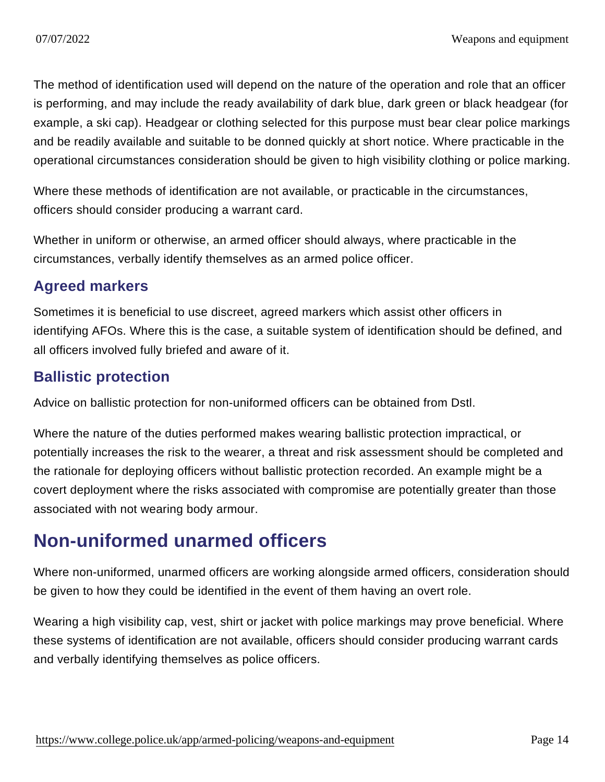The method of identification used will depend on the nature of the operation and role that an officer is performing, and may include the ready availability of dark blue, dark green or black headgear (for example, a ski cap). Headgear or clothing selected for this purpose must bear clear police markings and be readily available and suitable to be donned quickly at short notice. Where practicable in the operational circumstances consideration should be given to high visibility clothing or police marking.

Where these methods of identification are not available, or practicable in the circumstances, officers should consider producing a warrant card.

Whether in uniform or otherwise, an armed officer should always, where practicable in the circumstances, verbally identify themselves as an armed police officer.

#### Agreed markers

Sometimes it is beneficial to use discreet, agreed markers which assist other officers in identifying AFOs. Where this is the case, a suitable system of identification should be defined, and all officers involved fully briefed and aware of it.

#### Ballistic protection

Advice on ballistic protection for non-uniformed officers can be obtained from Dstl.

Where the nature of the duties performed makes wearing ballistic protection impractical, or potentially increases the risk to the wearer, a threat and risk assessment should be completed and the rationale for deploying officers without ballistic protection recorded. An example might be a covert deployment where the risks associated with compromise are potentially greater than those associated with not wearing body armour.

# Non-uniformed unarmed officers

Where non-uniformed, unarmed officers are working alongside armed officers, consideration should be given to how they could be identified in the event of them having an overt role.

Wearing a high visibility cap, vest, shirt or jacket with police markings may prove beneficial. Where these systems of identification are not available, officers should consider producing warrant cards and verbally identifying themselves as police officers.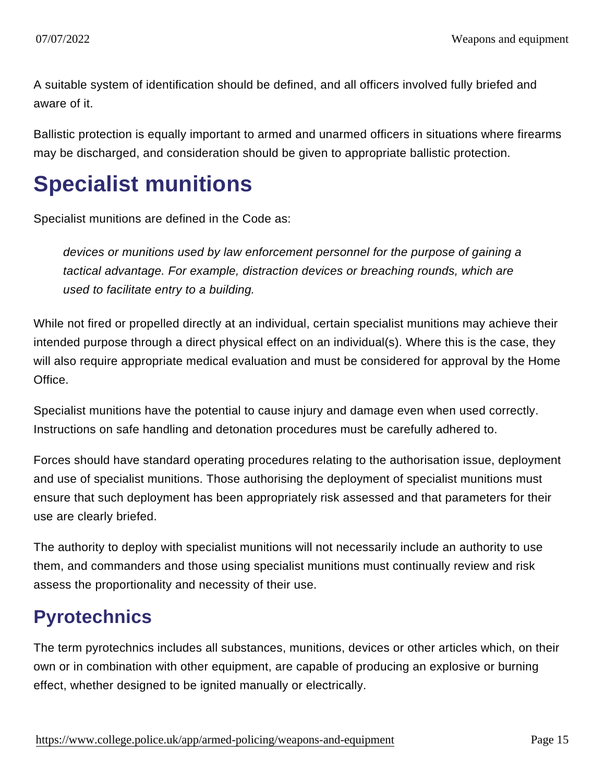A suitable system of identification should be defined, and all officers involved fully briefed and aware of it.

Ballistic protection is equally important to armed and unarmed officers in situations where firearms may be discharged, and consideration should be given to appropriate ballistic protection.

# Specialist munitions

Specialist munitions are defined in the Code as:

devices or munitions used by law enforcement personnel for the purpose of gaining a tactical advantage. For example, distraction devices or breaching rounds, which are used to facilitate entry to a building.

While not fired or propelled directly at an individual, certain specialist munitions may achieve their intended purpose through a direct physical effect on an individual(s). Where this is the case, they will also require appropriate medical evaluation and must be considered for approval by the Home Office.

Specialist munitions have the potential to cause injury and damage even when used correctly. Instructions on safe handling and detonation procedures must be carefully adhered to.

Forces should have standard operating procedures relating to the authorisation issue, deployment and use of specialist munitions. Those authorising the deployment of specialist munitions must ensure that such deployment has been appropriately risk assessed and that parameters for their use are clearly briefed.

The authority to deploy with specialist munitions will not necessarily include an authority to use them, and commanders and those using specialist munitions must continually review and risk assess the proportionality and necessity of their use.

# **Pyrotechnics**

The term pyrotechnics includes all substances, munitions, devices or other articles which, on their own or in combination with other equipment, are capable of producing an explosive or burning effect, whether designed to be ignited manually or electrically.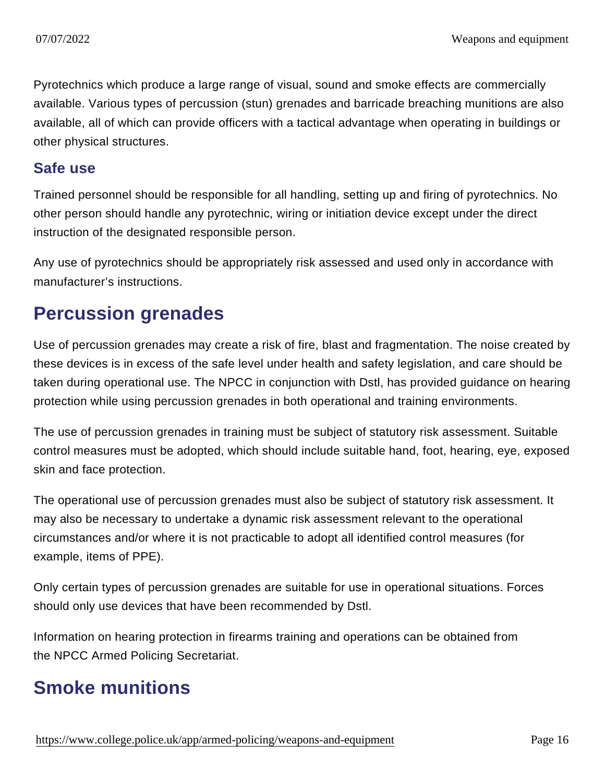Pyrotechnics which produce a large range of visual, sound and smoke effects are commercially available. Various types of percussion (stun) grenades and barricade breaching munitions are also available, all of which can provide officers with a tactical advantage when operating in buildings or other physical structures.

#### Safe use

Trained personnel should be responsible for all handling, setting up and firing of pyrotechnics. No other person should handle any pyrotechnic, wiring or initiation device except under the direct instruction of the designated responsible person.

Any use of pyrotechnics should be appropriately risk assessed and used only in accordance with manufacturer's instructions.

#### Percussion grenades

Use of percussion grenades may create a risk of fire, blast and fragmentation. The noise created by these devices is in excess of the safe level under health and safety legislation, and care should be taken during operational use. The NPCC in conjunction with Dstl, has provided guidance on hearing protection while using percussion grenades in both operational and training environments.

The use of percussion grenades in training must be subject of statutory risk assessment. Suitable control measures must be adopted, which should include suitable hand, foot, hearing, eye, exposed skin and face protection.

The operational use of percussion grenades must also be subject of statutory risk assessment. It may also be necessary to undertake a dynamic risk assessment relevant to the operational circumstances and/or where it is not practicable to adopt all identified control measures (for example, items of PPE).

Only certain types of percussion grenades are suitable for use in operational situations. Forces should only use devices that have been recommended by Dstl.

Information on hearing protection in firearms training and operations can be obtained from the NPCC Armed Policing Secretariat.

### Smoke munitions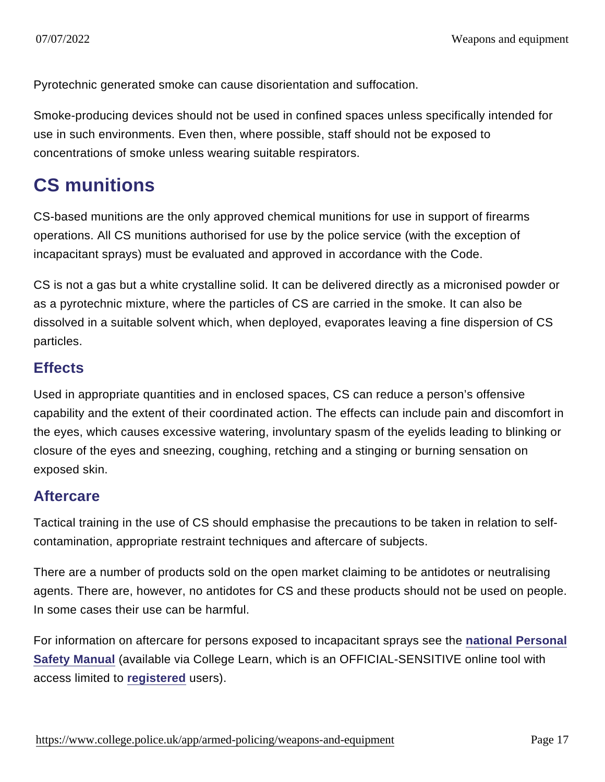Pyrotechnic generated smoke can cause disorientation and suffocation.

Smoke-producing devices should not be used in confined spaces unless specifically intended for use in such environments. Even then, where possible, staff should not be exposed to concentrations of smoke unless wearing suitable respirators.

### CS munitions

CS-based munitions are the only approved chemical munitions for use in support of firearms operations. All CS munitions authorised for use by the police service (with the exception of incapacitant sprays) must be evaluated and approved in accordance with the Code.

CS is not a gas but a white crystalline solid. It can be delivered directly as a micronised powder or as a pyrotechnic mixture, where the particles of CS are carried in the smoke. It can also be dissolved in a suitable solvent which, when deployed, evaporates leaving a fine dispersion of CS particles.

#### **Effects**

Used in appropriate quantities and in enclosed spaces, CS can reduce a person's offensive capability and the extent of their coordinated action. The effects can include pain and discomfort in the eyes, which causes excessive watering, involuntary spasm of the eyelids leading to blinking or closure of the eyes and sneezing, coughing, retching and a stinging or burning sensation on exposed skin.

#### Aftercare

Tactical training in the use of CS should emphasise the precautions to be taken in relation to selfcontamination, appropriate restraint techniques and aftercare of subjects.

There are a number of products sold on the open market claiming to be antidotes or neutralising agents. There are, however, no antidotes for CS and these products should not be used on people. In some cases their use can be harmful.

For information on aftercare for persons exposed to incapacitant sprays see the [national Personal](http://mle.ncalt.pnn.police.uk/CourseContent/6060/PST.html) [Safety Manual](http://mle.ncalt.pnn.police.uk/CourseContent/6060/PST.html) (available via College Learn, which is an OFFICIAL-SENSITIVE online tool with access limited to [registered](http://mle.ncalt.pnn.police.uk/Account/Login) users).